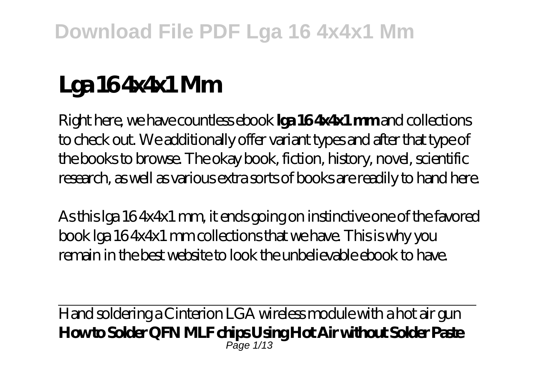# **Lga 16 4x4x1 Mm**

Right here, we have countless ebook **lga 16 4x4x1 mm** and collections to check out. We additionally offer variant types and after that type of the books to browse. The okay book, fiction, history, novel, scientific research, as well as various extra sorts of books are readily to hand here.

As this lga 16 4x4x1 mm, it ends going on instinctive one of the favored book lga 16 4x4x1 mm collections that we have. This is why you remain in the best website to look the unbelievable ebook to have.

Hand soldering a Cinterion LGA wireless module with a hot air gun **How to Solder QFN MLF chips Using Hot Air without Solder Paste** Page 1/13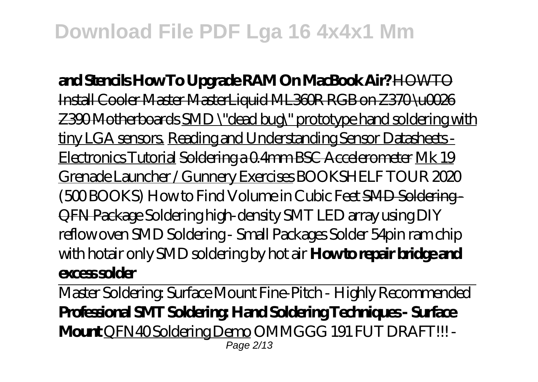**and Stencils How To Upgrade RAM On MacBook Air?** HOWTO Install Cooler Master MasterLiquid ML360R RGB on Z370 \u0026 Z390 Motherboards SMD \"dead bug\" prototype hand soldering with tiny LGA sensors. Reading and Understanding Sensor Datasheets - Electronics Tutorial Soldering a 0.4mm BSC Accelerometer Mk 19 Grenade Launcher / Gunnery Exercises *BOOKSHELF TOUR 2020 (500 BOOKS) How to Find Volume in Cubic Feet* SMD Soldering - QFN Package *Soldering high-density SMT LED array using DIY reflow oven* SMD Soldering - Small Packages Solder 54pin ram chip with hotair only SMD soldering by hot air **How to repair bridge and excess solder**

Master Soldering: Surface Mount Fine-Pitch - Highly Recommended **Professional SMT Soldering: Hand Soldering Techniques - Surface Mount** QFN40 Soldering Demo *OMMGGG 191 FUT DRAFT!!! -* Page 2/13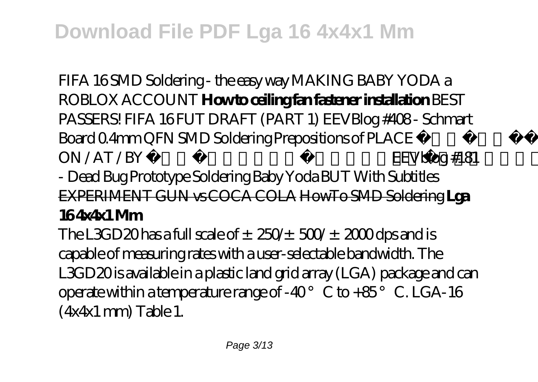*FIFA 16* SMD Soldering - the easy way *MAKING BABY YODA a ROBLOX ACCOUNT* **How to ceiling fan fastener installation** *BEST PASSERS! FIFA 16 FUT DRAFT (PART 1) EEVBlog #408 - Schmart Board 0.4mm QFN SMD Soldering Prepositions of PLACE IN / ON / AT / BY Common English Grammar Mistakes* V blog #181 - Dead Bug Prototype Soldering Baby Yoda BUT With Subtitles EXPERIMENT GUN vs COCA COLA HowTo SMD Soldering **Lga 16 4x4x1 Mm**

The L3GD20 has a full scale of  $\pm$  250/ $\pm$  500/ $\pm$  2000 dps and is capable of measuring rates with a user-selectable bandwidth. The L3GD20 is available in a plastic land grid array (LGA) package and can operate within a temperature range of -40 $^{\circ}$  C to +85 $^{\circ}$  C. LGA-16 (4x4x1 mm) Table 1.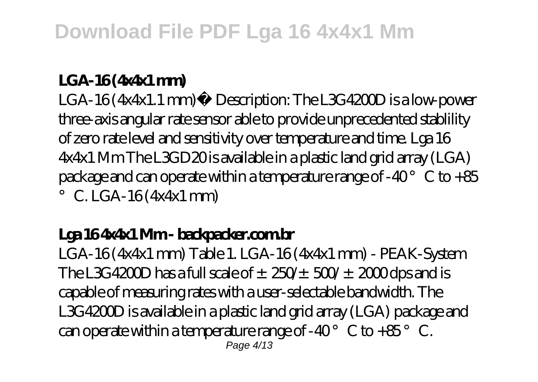### **LGA-16 (4x4x1 mm)**

LGA-16 (4x4x1.1 mm) Description: The L3G4200D is a low-power three-axis angular rate sensor able to provide unprecedented stablility of zero rate level and sensitivity over temperature and time. Lga 16 4x4x1 Mm The L3GD20 is available in a plastic land grid array (LGA) package and can operate within a temperature range of -40 $^{\circ}$  C to +85  $\degree$  C. LGA-16 (4x4x1 mm)

## **Lga 16 4x4x1 Mm - backpacker.com.br**

LGA-16 (4x4x1 mm) Table 1. LGA-16 (4x4x1 mm) - PEAK-System The L3G4200D has a full scale of  $\pm$  250/ $\pm$  500/ $\pm$  2000 dps and is capable of measuring rates with a user-selectable bandwidth. The L3G4200D is available in a plastic land grid array (LGA) package and can operate within a temperature range of -40 $^{\circ}$  C to +85 $^{\circ}$  C. Page 4/13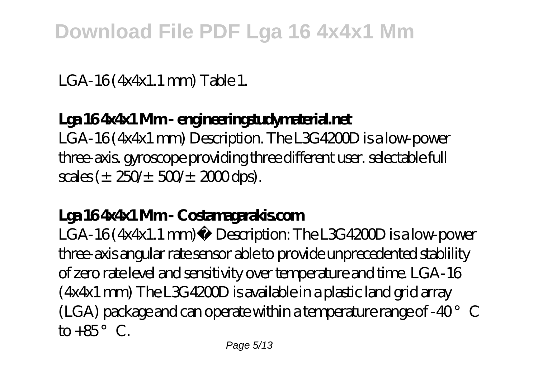LGA-16 (4x4x1.1 mm) Table 1.

## **Lga 16 4x4x1 Mm - engineeringstudymaterial.net**

LGA-16 (4x4x1 mm) Description. The L3G4200D is a low-power three-axis. gyroscope providing three different user. selectable full  $scales (\pm 250/\pm 500/\pm 2000$  dps).

## **Lga 16 4x4x1 Mm - Costamagarakis.com**

LGA-16 (4x4x1.1 mm) Description: The L3G4200D is a low-power three-axis angular rate sensor able to provide unprecedented stablility of zero rate level and sensitivity over temperature and time. LGA-16  $(4x4x1$  mm) The L3G4200D is available in a plastic land grid array (LGA) package and can operate within a temperature range of -40 $^{\circ}$  C to  $+85^\circ$  C.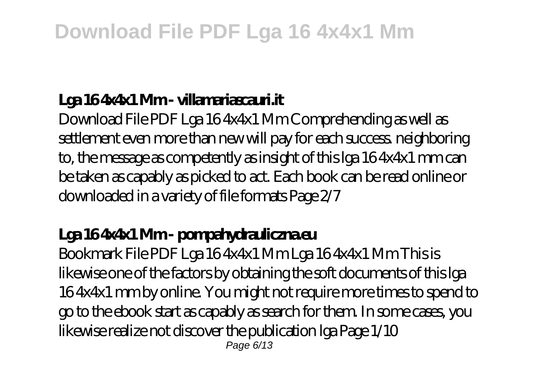## **Lga 16 4x4x1 Mm - villamariascauri.it**

Download File PDF Lga 16 4x4x1 Mm Comprehending as well as settlement even more than new will pay for each success neighboring to, the message as competently as insight of this lga 16 4x4x1 mm can be taken as capably as picked to act. Each book can be read online or downloaded in a variety of file formats Page 2/7

## **Lga 16 4x4x1 Mm - pompahydrauliczna.eu**

Bookmark File PDF Lga 16 4x4x1 Mm Lga 16 4x4x1 Mm This is likewise one of the factors by obtaining the soft documents of this lga 16 4x4x1 mm by online. You might not require more times to spend to go to the ebook start as capably as search for them. In some cases, you likewise realize not discover the publication lga Page 1/10 Page 6/13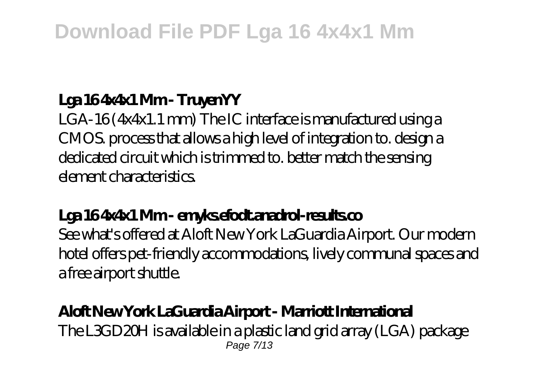## **Lga 16 4x4x1 Mm - TruyenYY**

LGA-16 (4x4x1.1 mm) The IC interface is manufactured using a CMOS. process that allows a high level of integration to. design a dedicated circuit which is trimmed to. better match the sensing element characteristics.

## **Lga 16 4x4x1 Mm - emyks.efodt.anadrol-results.co**

See what's offered at Aloft New York LaGuardia Airport. Our modern hotel offers pet-friendly accommodations, lively communal spaces and a free airport shuttle.

### **Aloft New York LaGuardia Airport - Marriott International** The L3GD20H is available in a plastic land grid array (LGA) package Page 7/13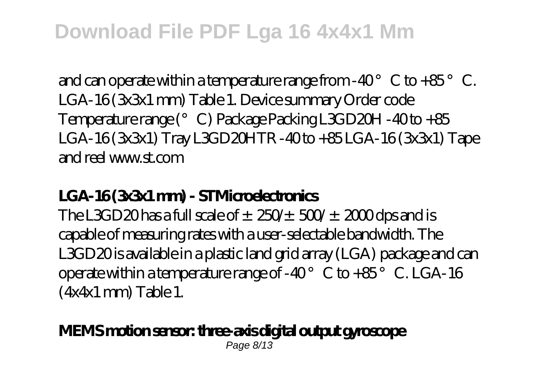and can operate within a temperature range from  $-40^{\circ}$  C to  $+85^{\circ}$  C. LGA-16 (3x3x1 mm) Table 1. Device summary Order code Temperature range (°C) Package Packing L3GD20H -40 to +85 LGA-16 (3x3x1) Tray L3GD20HTR -40 to +85 LGA-16 (3x3x1) Tape and reel www.st.com

## **LGA-16 (3x3x1 mm) - STMicroelectronics**

The L3GD20 has a full scale of  $\pm$  250/ $\pm$  500/ $\pm$  2000 dps and is capable of measuring rates with a user-selectable bandwidth. The L3GD20 is available in a plastic land grid array (LGA) package and can operate within a temperature range of -40 $^{\circ}$  C to +85 $^{\circ}$  C. LGA-16 (4x4x1 mm) Table 1.

#### **MEMS motion sensor: three-axis digital output gyroscope** Page 8/13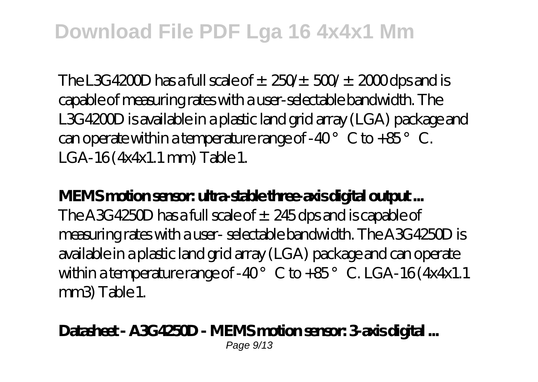The L3G4200D has a full scale of  $\pm$  250/ $\pm$  500/ $\pm$  2000 dps and is capable of measuring rates with a user-selectable bandwidth. The L3G4200D is available in a plastic land grid array (LGA) package and can operate within a temperature range of -40 $^{\circ}$  C to +85 $^{\circ}$  C. LGA-16 (4x4x1.1 mm) Table 1.

## **MEMS motion sensor: ultra-stable three-axis digital output ...**

The A3G4250D has a full scale of  $\pm 245$  dps and is capable of measuring rates with a user- selectable bandwidth. The A3G4250D is available in a plastic land grid array (LGA) package and can operate within a temperature range of -40 $^{\circ}$  C to +85 $^{\circ}$  C. LGA-16 (4x4x1.1) mm3) Table 1.

#### **Datasheet - A3G4250D - MEMS motion sensor: 3-axis digital ...** Page  $9/13$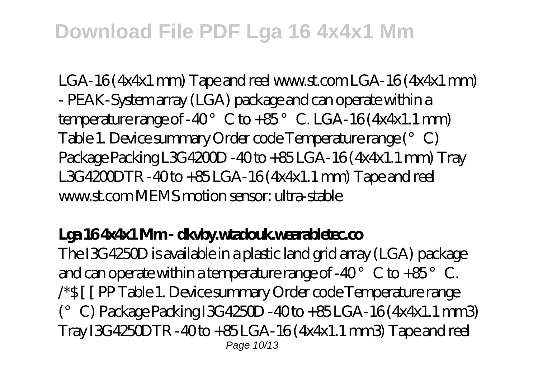LGA-16 (4x4x1 mm) Tape and reel www.st.com LGA-16 (4x4x1 mm) - PEAK-System array (LGA) package and can operate within a temperature range of -40 $^{\circ}$  C to +85 $^{\circ}$  C. LGA-16 (4x4x1.1 mm) Table 1. Device summary Order code Temperature range (°C) Package Packing L3G4200D - 40 to + 85 LGA-16 (4x4x1.1 mm) Tray L3G4200DTR -40 to +85 LGA-16 (4x4x1.1 mm) Tape and reel www.st.com MEMS motion sensor: ultra-stable

## **Lga 16 4x4x1 Mm - dkvby.wtadouk.wearabletec.co**

The I3G4250D is available in a plastic land grid array (LGA) package and can operate within a temperature range of -40 $^{\circ}$  C to +85 $^{\circ}$  C. /\*\$ [ [ PP Table 1. Device summary Order code Temperature range  $(°)$  C) Package Packing I3G 4250D - 40 to  $+85$ LGA-16 (4x4x1.1 mm3) Tray I3G4250DTR -40 to +85 LGA-16 (4x4x1.1 mm3) Tape and reel Page 10/13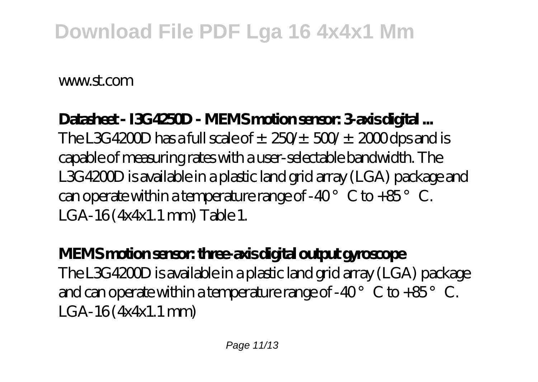www.st.com

### **Datasheet - I3G4250D - MEMS motion sensor: 3-axis digital ...** The L3G4200D has a full scale of  $\pm$  250/ $\pm$  500/ $\pm$  2000 dps and is

capable of measuring rates with a user-selectable bandwidth. The L3G4200D is available in a plastic land grid array (LGA) package and can operate within a temperature range of -40 $^{\circ}$  C to +85 $^{\circ}$  C. LGA-16 (4x4x1.1 mm) Table 1.

## **MEMS motion sensor: three-axis digital output gyroscope** The L3G4200D is available in a plastic land grid array (LGA) package and can operate within a temperature range of -40 $^{\circ}$  C to +85 $^{\circ}$  C. LGA-16 (4x4x1.1 mm)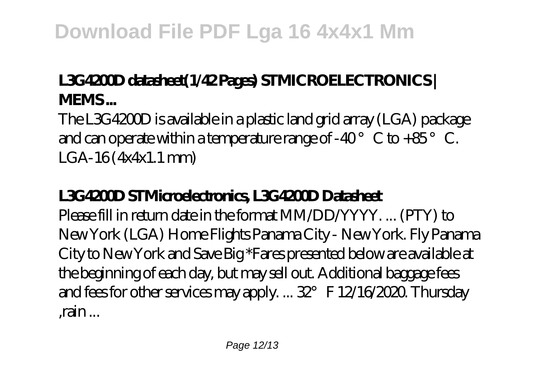## **L3G4200D datasheet(1/42 Pages) STMICROELECTRONICS | MEMS ...**

The L3G4200D is available in a plastic land grid array (LGA) package and can operate within a temperature range of -40 $^{\circ}$  C to +85 $^{\circ}$  C. LGA-16 (4x4x1.1 mm)

## **L3G4200D STMicroelectronics, L3G4200D Datasheet**

Please fill in return date in the format MM/DD/YYYY. ... (PTY) to New York (LGA) Home Flights Panama City - New York. Fly Panama City to New York and Save Big \*Fares presented below are available at the beginning of each day, but may sell out. Additional baggage fees and fees for other services may apply. ... 32° F 12/16/2020. Thursday ,rain ...